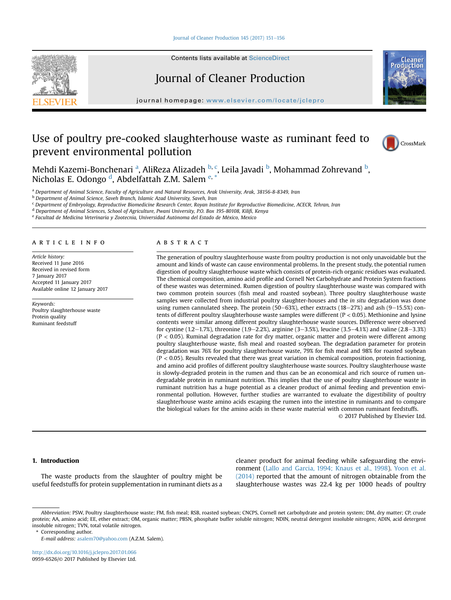## [Journal of Cleaner Production 145 \(2017\) 151](http://dx.doi.org/10.1016/j.jclepro.2017.01.066)-[156](http://dx.doi.org/10.1016/j.jclepro.2017.01.066)



Contents lists available at ScienceDirect

# Journal of Cleaner Production

journal homepage: [www.elsevier.com/locate/jclepro](http://www.elsevier.com/locate/jclepro)

# Use of poultry pre-cooked slaughterhouse waste as ruminant feed to prevent environmental pollution





Mehdi Kazemi-Bonchenari <sup>a</sup>, AliReza Alizadeh <sup>b, c</sup>, Leila Javadi <sup>b</sup>, Mohammad Zohrevand <sup>b</sup>, Nicholas E. Odongo <sup>d</sup>, Abdelfattah Z.M. Salem <sup>e, \*</sup>

a Department of Animal Science, Faculty of Agriculture and Natural Resources, Arak University, Arak, 38156-8-8349, Iran

<sup>b</sup> Department of Animal Science, Saveh Branch, Islamic Azad University, Saveh, Iran

<sup>c</sup> Department of Embryology, Reproductive Biomedicine Research Center, Royan Institute for Reproductive Biomedicine, ACECR, Tehran, Iran

<sup>d</sup> Department of Animal Sciences, School of Agriculture, Pwani University, P.O. Box 195-80108, Kilifi, Kenya

e Facultad de Medicina Veterinaria y Zootecnia, Universidad Autónoma del Estado de México, Mexico

## article info

Article history: Received 11 June 2016 Received in revised form 7 January 2017 Accepted 11 January 2017 Available online 12 January 2017

Keywords: Poultry slaughterhouse waste Protein quality Ruminant feedstuff

# ABSTRACT

The generation of poultry slaughterhouse waste from poultry production is not only unavoidable but the amount and kinds of waste can cause environmental problems. In the present study, the potential rumen digestion of poultry slaughterhouse waste which consists of protein-rich organic residues was evaluated. The chemical composition, amino acid profile and Cornell Net Carbohydrate and Protein System fractions of these wastes was determined. Rumen digestion of poultry slaughterhouse waste was compared with two common protein sources (fish meal and roasted soybean). Three poultry slaughterhouse waste samples were collected from industrial poultry slaughter-houses and the *in situ* degradation was done using rumen cannulated sheep. The protein  $(50-63%)$ , ether extracts  $(18-27%)$  and ash  $(9-15.5%)$  contents of different poultry slaughterhouse waste samples were different (P < 0.05). Methionine and lysine contents were similar among different poultry slaughterhouse waste sources. Difference were observed for cystine  $(1.2-1.7%)$ , threonine  $(1.9-2.2%)$ , arginine  $(3-3.5%)$ , leucine  $(3.5-4.1%)$  and valine  $(2.8-3.3%)$ (P < 0.05). Ruminal degradation rate for dry matter, organic matter and protein were different among poultry slaughterhouse waste, fish meal and roasted soybean. The degradation parameter for protein degradation was 76% for poultry slaughterhouse waste, 79% for fish meal and 98% for roasted soybean  $(P < 0.05)$ . Results revealed that there was great variation in chemical composition, protein fractioning, and amino acid profiles of different poultry slaughterhouse waste sources. Poultry slaughterhouse waste is slowly-degraded protein in the rumen and thus can be an economical and rich source of rumen undegradable protein in ruminant nutrition. This implies that the use of poultry slaughterhouse waste in ruminant nutrition has a huge potential as a cleaner product of animal feeding and prevention environmental pollution. However, further studies are warranted to evaluate the digestibility of poultry slaughterhouse waste amino acids escaping the rumen into the intestine in ruminants and to compare the biological values for the amino acids in these waste material with common ruminant feedstuffs. © 2017 Published by Elsevier Ltd.

# 1. Introduction

The waste products from the slaughter of poultry might be useful feedstuffs for protein supplementation in ruminant diets as a cleaner product for animal feeding while safeguarding the environment ([Lallo and Garcia, 1994; Knaus et al., 1998](#page-5-0)). [Yoon et al.](#page-5-0) [\(2014\)](#page-5-0) reported that the amount of nitrogen obtainable from the slaughterhouse wastes was 22.4 kg per 1000 heads of poultry

Corresponding author.

<http://dx.doi.org/10.1016/j.jclepro.2017.01.066> 0959-6526/© 2017 Published by Elsevier Ltd.

Abbreviation: PSW, Poultry slaughterhouse waste; FM, fish meal; RSB, roasted soybean; CNCPS, Cornell net carbohydrate and protein system; DM, dry matter; CP, crude protein; AA, amino acid; EE, ether extract; OM, organic matter; PBSN, phosphate buffer soluble nitrogen; NDIN, neutral detergent insoluble nitrogen; ADIN, acid detergent insoluble nitrogen; TVN, total volatile nitrogen.

E-mail address: [asalem70@yahoo.com](mailto:asalem70@yahoo.com) (A.Z.M. Salem).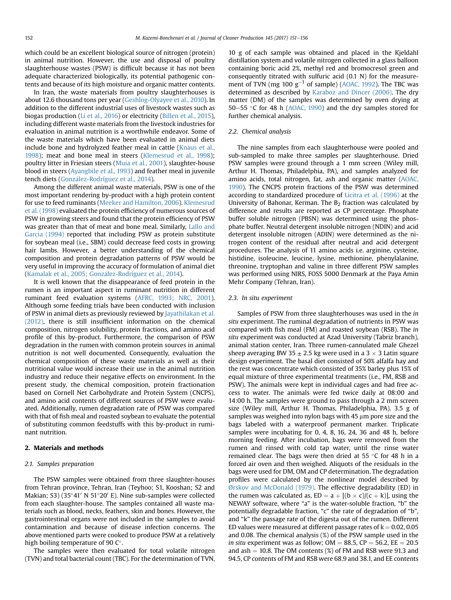which could be an excellent biological source of nitrogen (protein) in animal nutrition. However, the use and disposal of poultry slaughterhouse wastes (PSW) is difficult because it has not been adequate characterized biologically, its potential pathogenic contents and because of its high moisture and organic matter contents.

In Iran, the waste materials from poultry slaughterhouses is about 12.6 thousand tons per year ([Geshlog-Olyayee et al., 2010\)](#page-4-0). In addition to the different industrial uses of livestock wastes such as biogas production [\(Li et al., 2016\)](#page-5-0) or electricity [\(Billen et al., 2015\)](#page-4-0), including different waste materials from the livestock industries for evaluation in animal nutrition is a worthwhile endeavor. Some of the waste materials which have been evaluated in animal diets include bone and hydrolyzed feather meal in cattle ([Knaus et al.,](#page-4-0) [1998](#page-4-0)); meat and bone meal in steers [\(Klemesrud et al., 1998](#page-4-0)); poultry litter in Friesian steers ([Muia et al., 2001\)](#page-5-0), slaughter-house blood in steers [\(Ayangbile et al., 1993\)](#page-4-0) and feather meal in juvenile tench diets [\(Gonz](#page-4-0) a[lez-Rodríguez et al., 2014\)](#page-4-0).

Among the different animal waste materials, PSW is one of the most important rendering by-product with a high protein content for use to feed ruminants ([Meeker and Hamilton, 2006](#page-5-0)). [Klemesrud](#page-4-0) [et al. \(1998\)](#page-4-0) evaluated the protein efficiency of numerous sources of PSW in growing steers and found that the protein efficiency of PSW was greater than that of meat and bone meal. Similarly, [Lallo and](#page-5-0) [Garcia \(1994\)](#page-5-0) reported that including PSW as protein substitute for soybean meal (i.e., SBM) could decrease feed costs in growing hair lambs. However, a better understanding of the chemical composition and protein degradation patterns of PSW would be very useful in improving the accuracy of formulation of animal diet (Kamalak et al., 2005; González-Rodríguez et al., 2014).

It is well known that the disappearance of feed protein in the rumen is an important aspect in ruminant nutrition in different ruminant feed evaluation systems ([AFRC, 1993; NRC, 2001\)](#page-4-0). Although some feeding trials have been conducted with inclusion of PSW in animal diets as previously reviewed by [Jayathilakan et al.](#page-4-0) [\(2012\)](#page-4-0), there is still insufficient information on the chemical composition, nitrogen solubility, protein fractions, and amino acid profile of this by-product. Furthermore, the comparison of PSW degradation in the rumen with common protein sources in animal nutrition is not well documented. Consequently, evaluation the chemical composition of these waste materials as well as their nutritional value would increase their use in the animal nutrition industry and reduce their negative effects on environment. In the present study, the chemical composition, protein fractionation based on Cornell Net Carbohydrate and Protein System (CNCPS), and amino acid contents of different sources of PSW were evaluated. Additionally, rumen degradation rate of PSW was compared with that of fish meal and roasted soybean to evaluate the potential of substituting common feedstuffs with this by-product in ruminant nutrition.

## 2. Materials and methods

## 2.1. Samples preparation

The PSW samples were obtained from three slaughter-houses from Tehran province, Tehran, Iran (Teyhoo; S1, Kooshan; S2 and Makian; S3) (35 $\degree$ 41' N 51 $\degree$ 20' E). Nine sub-samples were collected from each slaughter-house. The samples contained all waste materials such as blood, necks, feathers, skin and bones. However, the gastrointestinal organs were not included in the samples to avoid contamination and because of disease infection concerns. The above mentioned parts were cooked to produce PSW at a relatively high boiling temperature of 90  $C^{\circ}$ .

The samples were then evaluated for total volatile nitrogen (TVN) and total bacterial count (TBC). For the determination of TVN, 10 g of each sample was obtained and placed in the Kjeldahl distillation system and volatile nitrogen collected in a glass balloon containing boric acid 2%, methyl red and bromocresol green and consequently titrated with sulfuric acid (0.1 N) for the measurement of TVN (mg  $100 \text{ g}^{-1}$  of sample) ([AOAC, 1992\)](#page-4-0). The TBC was determined as described by [Karaboz and Dincer \(2006\).](#page-4-0) The dry matter (DM) of the samples was determined by oven drying at 50 $-55$  °C for 48 h ([AOAC, 1990](#page-4-0)) and the dry samples stored for further chemical analysis.

## 2.2. Chemical analysis

The nine samples from each slaughterhouse were pooled and sub-sampled to make three samples per slaughterhouse. Dried PSW samples were ground through a 1 mm screen (Wiley mill, Arthur H. Thomas, Philadelphia, PA), and samples analyzed for amino acids, total nitrogen, fat, ash and organic matter ([AOAC,](#page-4-0) [1990](#page-4-0)). The CNCPS protein fractions of the PSW was determined according to standardized procedure of [Licitra et al. \(1996\)](#page-5-0) at the University of Bahonar, Kerman. The  $B_2$  fraction was calculated by difference and results are reported as CP percentage. Phosphate buffer soluble nitrogen (PBSN) was determined using the phosphate buffer. Neutral detergent insoluble nitrogen (NDIN) and acid detergent insoluble nitrogen (ADIN) were determined as the nitrogen content of the residual after neutral and acid detergent procedures. The analysis of 11 amino acids i.e. arginine, cysteine, histidine, isoleucine, leucine, lysine, methionine, phenylalanine, threonine, tryptophan and valine in three different PSW samples was performed using NIRS, FOSS 5000 Denmark at the Paya Amin Mehr Company (Tehran, Iran).

# 2.3. In situ experiment

Samples of PSW from three slaughterhouses was used in the in situ experiment. The ruminal degradation of nutrients in PSW was compared with fish meal (FM) and roasted soybean (RSB). The in situ experiment was conducted at Azad University (Tabriz branch), animal station center, Iran. Three rumen-cannulated male Ghezel sheep averaging BW 35  $\pm$  2.5 kg were used in a 3  $\times$  3 Latin square design experiment. The basal diet consisted of 50% alfalfa hay and the rest was concentrate which consisted of 35% barley plus 15% of equal mixture of three experimental treatments (i.e., FM, RSB and PSW). The animals were kept in individual cages and had free access to water. The animals were fed twice daily at 08:00 and 14:00 h. The samples were ground to pass through a 2 mm screen size (Wiley mill, Arthur H. Thomas, Philadelphia, PA). 3.5 g of samples was weighed into nylon bags with 45 µm pore size and the bags labeled with a waterproof permanent marker. Triplicate samples were incubating for 0, 4, 8, 16, 24, 36 and 48 h, before morning feeding. After incubation, bags were removed from the rumen and rinsed with cold tap water, until the rinse water remained clear. The bags were then dried at 55  $\degree$ C for 48 h in a forced air oven and then weighed. Aliquots of the residuals in the bags were used for DM, OM and CP determination. The degradation profiles were calculated by the nonlinear model described by Ø[rskov and McDonald \(1979\).](#page-5-0) The effective degradability (ED) in the rumen was calculated as,  $ED = a + [(b \times c)/(c + k)]$ , using the NEWAY software, where "a" is the water-soluble fraction, "b" the potentially degradable fraction, "c" the rate of degradation of "b", and "k" the passage rate of the digesta out of the rumen. Different ED values were measured at different passage rates of  $k = 0.02, 0.05$ and 0.08. The chemical analysis (%) of the PSW sample used in the in situ experiment was as follow;  $OM = 88.5$ ,  $CP = 56.2$ ,  $EE = 20.5$ and ash  $= 10.8$ . The OM contents  $(\%)$  of FM and RSB were 91.3 and 94.5, CP contents of FM and RSB were 68.9 and 38.1, and EE contents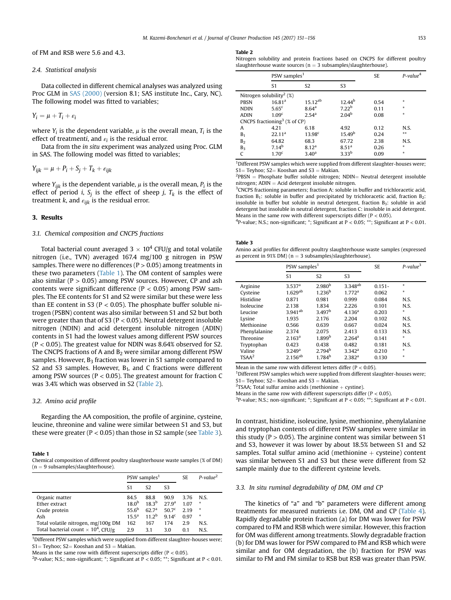of FM and RSB were 5.6 and 4.3.

## 2.4. Statistical analysis

Data collected in different chemical analyses was analyzed using Proc GLM in [SAS \(2000\)](#page-5-0) (version 8.1; SAS institute Inc., Cary, NC). The following model was fitted to variables;

$$
Y_i = \mu + T_i + \varepsilon_i
$$

where  $Y_i$  is the dependent variable,  $\mu$  is the overall mean,  $T_i$  is the effect of treatmenti, and  $\varepsilon_i$  is the residual error.

Data from the in situ experiment was analyzed using Proc. GLM in SAS. The following model was fitted to variables;

$$
Y_{ijk} = \mu + P_i + S_j + T_k + \varepsilon_{ijk}
$$

where  $Y_{ijk}$  is the dependent variable,  $\mu$  is the overall mean,  $P_i$  is the effect of period *i*,  $S_i$  is the effect of sheep *j*,  $T_k$  is the effect of treatment k, and  $\varepsilon_{ijk}$  is the residual error.

## 3. Results

# 3.1. Chemical composition and CNCPS fractions

Total bacterial count averaged  $3 \times 10^4$  CFU/g and total volatile nitrogen (i.e., TVN) averaged 167.4 mg/100 g nitrogen in PSW samples. There were no differences ( $P > 0.05$ ) among treatments in these two parameters (Table 1). The OM content of samples were also similar ( $P > 0.05$ ) among PSW sources. However, CP and ash contents were significant difference ( $P < 0.05$ ) among PSW samples. The EE contents for S1 and S2 were similar but these were less than EE content in S3 ( $P < 0.05$ ). The phosphate buffer soluble nitrogen (PSBN) content was also similar between S1 and S2 but both were greater than that of S3 ( $P < 0.05$ ). Neutral detergent insoluble nitrogen (NDIN) and acid detergent insoluble nitrogen (ADIN) contents in S1 had the lowest values among different PSW sources  $(P < 0.05)$ . The greatest value for NDIN was 8.64% observed for S2. The CNCPS fractions of A and  $B<sub>2</sub>$  were similar among different PSW samples. However,  $B_3$  fraction was lower in S1 sample compared to S2 and S3 samples. However,  $B_1$ , and C fractions were different among PSW sources ( $P < 0.05$ ). The greatest amount for fraction C was 3.4% which was observed in S2 (Table 2).

#### 3.2. Amino acid profile

Regarding the AA composition, the profile of arginine, cysteine, leucine, threonine and valine were similar between S1 and S3, but these were greater ( $P < 0.05$ ) than those in S2 sample (see Table 3).

### Table 1

| Chemical composition of different poultry slaughterhouse waste samples (% of DM) |  |
|----------------------------------------------------------------------------------|--|
| $(n = 9$ subsamples/slaughterhouse).                                             |  |

|                                                        |                   | PSW samples <sup>1</sup> | SE.               | $P-value2$ |      |
|--------------------------------------------------------|-------------------|--------------------------|-------------------|------------|------|
|                                                        | S1                | S <sub>2</sub>           | S <sub>3</sub>    |            |      |
| Organic matter                                         | 84.5              | 88.8                     | 90.9              | 3.76       | N.S. |
| Ether extract                                          | 18.0 <sup>b</sup> | $18.3^{b}$               | 27.9 <sup>a</sup> | 1.07       | *    |
| Crude protein                                          | 55 $6b$           | 62.7 <sup>a</sup>        | 50.7 <sup>c</sup> | 2.19       | *    |
| Ash                                                    | 15 <sup>4</sup>   | 11.2 <sup>b</sup>        | $9.14^c$          | 0.97       | *    |
| Total volatile nitrogen, mg/100g DM                    | 162               | 167                      | 174               | 2.9        | N.S. |
| Total bacterial count $\times$ 10 <sup>4</sup> , CFU/g | 2.9               | 3.1                      | 3.0               | 0.1        | N.S. |

<sup>1</sup>Different PSW samples which were supplied from different slaughter-houses were;  $S1 = Teyhoo$ ;  $S2 = Kooshan$  and  $S3 = Makian$ .

Means in the same row with different superscripts differ ( $P < 0.05$ ).

<sup>2</sup>P-value; N.S.; non-significant; \*; Significant at  $P < 0.05$ ; \*\*; Significant at  $P < 0.01$ .

#### Table 2

Nitrogen solubility and protein fractions based on CNCPS for different poultry slaughterhouse waste sources ( $n = 3$  subsamples/slaughterhouse).

|                                          | PSW samples <sup>1</sup> |                    |                    | SE.  | $P$ -value <sup>4</sup> |  |  |  |  |
|------------------------------------------|--------------------------|--------------------|--------------------|------|-------------------------|--|--|--|--|
|                                          | S <sub>1</sub>           | S <sub>2</sub>     | S <sub>3</sub>     |      |                         |  |  |  |  |
| Nitrogen solubility <sup>2</sup> (%)     |                          |                    |                    |      |                         |  |  |  |  |
| <b>PBSN</b>                              | 16.81 <sup>a</sup>       | $15.12^{ab}$       | $12.44^{b}$        | 0.54 | $\ast$                  |  |  |  |  |
| <b>NDIN</b>                              | 5.65 <sup>c</sup>        | 8.64 <sup>a</sup>  | $7.22^b$           | 0.11 | *                       |  |  |  |  |
| <b>ADIN</b>                              | 1.09 <sup>c</sup>        | 2.54 <sup>a</sup>  | $2.04^{b}$         | 0.08 | *                       |  |  |  |  |
| CNCPS fractioning <sup>3</sup> (% of CP) |                          |                    |                    |      |                         |  |  |  |  |
| A                                        | 4.21                     | 6.18               | 4.92               | 0.12 | N.S.                    |  |  |  |  |
| $B_1$                                    | 22.11 <sup>a</sup>       | 13.98 <sup>c</sup> | 15.49 <sup>b</sup> | 0.24 | $***$                   |  |  |  |  |
| B <sub>2</sub>                           | 64.82                    | 68.3               | 67.72              | 2.38 | N.S.                    |  |  |  |  |
| $B_3$                                    | $7.14^{b}$               | 8.12 <sup>a</sup>  | 8.51 <sup>a</sup>  | 0.26 | $\ast$                  |  |  |  |  |
| C                                        | 1.70 <sup>c</sup>        | 3.40 <sup>a</sup>  | 3.33 <sup>b</sup>  | 0.09 | *                       |  |  |  |  |

<sup>1</sup>Different PSW samples which were supplied from different slaughter-houses were;

S1= Teyhoo; S2= Kooshan and S3 = Makian.<br><sup>2</sup>PBSN = Phosphate buffer soluble nitrogen; NDIN= Neutral detergent insoluble nitrogen;  $ADIN = Acid$  detergent insoluble nitrogen.

<sup>3</sup>CNCPS fractioning parameters; fraction A: soluble in buffer and trichloracetic acid, fraction  $B_1$ : soluble in buffer and precipitated by trichloracetic acid, fraction  $B_2$ : insoluble in buffer but soluble in neutral detergent, fraction  $B_3$ : soluble in acid detergent but insoluble in neutral detergent, fraction C: insoluble in acid detergent. Means in the same row with different superscripts differ ( $P < 0.05$ ).

<sup>4</sup>P-value; N.S.; non-significant; \*; Significant at  $P < 0.05$ ; \*\*; Significant at  $P < 0.01$ .

### Table 3

Amino acid profiles for different poultry slaughterhouse waste samples (expressed as percent in 91% DM) ( $n = 3$  subsamples/slaughterhouse).

|                   | PSW samples <sup>1</sup> |                    | <b>SE</b>            | $P-value3$ |        |
|-------------------|--------------------------|--------------------|----------------------|------------|--------|
|                   | S1                       | S <sub>2</sub>     | S <sub>3</sub>       |            |        |
| Arginine          | 3.537 <sup>a</sup>       | 2.980 <sup>b</sup> | 3.348 <sup>ab</sup>  | $0.151 -$  | *      |
| Cysteine          | $1.629$ <sup>ab</sup>    | 1.236 <sup>b</sup> | 1.772 <sup>a</sup>   | 0.062      | $\ast$ |
| Histidine         | 0.871                    | 0.981              | 0.999                | 0.084      | N.S.   |
| Isoleucine        | 2.138                    | 1.834              | 2.226                | 0.101      | N.S.   |
| Leucine           | $3.941^{ab}$             | 3.497 <sup>b</sup> | 4.136 <sup>a</sup>   | 0.203      | $\ast$ |
| Lysine            | 1.935                    | 2.176              | 2.204                | 0.102      | N.S.   |
| Methionine        | 0.566                    | 0.639              | 0.667                | 0.024      | N.S.   |
| Phenylalanine     | 2.374                    | 2.075              | 2.413                | 0.133      | N.S.   |
| Threonine         | 2.163 <sup>a</sup>       | 1.899 <sup>b</sup> | $2.264$ <sup>a</sup> | 0.141      | $\ast$ |
| Tryptophan        | 0.423                    | 0.438              | 0.482                | 0.181      | N.S.   |
| Valine            | 3.249 <sup>a</sup>       | 2.794 <sup>b</sup> | $3.342^a$            | 0.210      | *      |
| TSAA <sup>2</sup> | $2.156^{ab}$             | 1.784 <sup>b</sup> | 2.382 <sup>a</sup>   | 0.130      | *      |

Mean in the same row with different letters differ ( $P < 0.05$ ).

<sup>1</sup>Different PSW samples which were supplied from different slaughter-houses were; S1= Teyhoo; S2= Kooshan and S3 = Makian.<br><sup>2</sup>TSAA; Total sulfur amino acids (methionine + cystine).

Means in the same row with different superscripts differ ( $P < 0.05$ ).

<sup>3</sup>P-value; N.S.; non-significant; \*; Significant at P < 0.05; \*\*; Significant at P < 0.01.

In contrast, histidine, isoleucine, lysine, methionine, phenylalanine and tryptophan contents of different PSW samples were similar in this study ( $P > 0.05$ ). The arginine content was similar between S1 and S3, however it was lower by about 18.5% between S1 and S2 samples. Total sulfur amino acid (methionine  $+$  cysteine) content was similar between S1 and S3 but these were different from S2 sample mainly due to the different cysteine levels.

## 3.3. In situ ruminal degradability of DM, OM and CP

The kinetics of "a" and "b" parameters were different among treatments for measured nutrients i.e. DM, OM and CP ([Table 4\)](#page-3-0). Rapidly degradable protein fraction (a) for DM was lower for PSW compared to FM and RSB which were similar. However, this fraction for OM was different among treatments. Slowly degradable fraction (b) for DM was lower for PSW compared to FM and RSB which were similar and for OM degradation, the (b) fraction for PSW was similar to FM and FM similar to RSB but RSB was greater than PSW.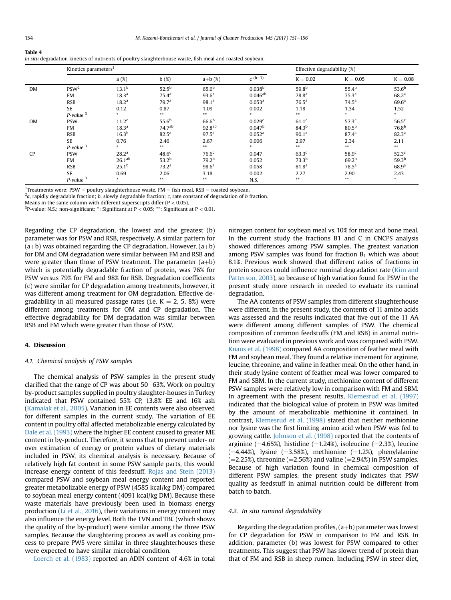<span id="page-3-0"></span>

| Table 4                                                                                                   |
|-----------------------------------------------------------------------------------------------------------|
| In situ degradation kinetics of nutrients of poultry slaughterhouse waste, fish meal and roasted soybean. |

|           | Kinetics parameters <sup>1</sup> |                    |                   |                    |                    | Effective degradability (%) |                   |                   |
|-----------|----------------------------------|--------------------|-------------------|--------------------|--------------------|-----------------------------|-------------------|-------------------|
|           |                                  | a <sub>(%)</sub>   | b(%)              | $a+b(%)$           | $C^{(h-1)}$        | $K = 0.02$                  | $K = 0.05$        | $K = 0.08$        |
| DM        | PSW <sup>2</sup>                 | 13.1 <sup>b</sup>  | $52.5^{b}$        | 65.6 <sup>b</sup>  | 0.038 <sup>b</sup> | 59.8 <sup>b</sup>           | $55.4^{b}$        | $53.6^{b}$        |
|           | <b>FM</b>                        | 18.3 <sup>a</sup>  | 75.4 <sup>a</sup> | 93.6 <sup>a</sup>  | $0.046^{ab}$       | 78.8 <sup>a</sup>           | 75.3 <sup>a</sup> | 68.2 <sup>a</sup> |
|           | <b>RSB</b>                       | 18.2 <sup>a</sup>  | 79.7 <sup>a</sup> | 98.1 <sup>a</sup>  | 0.053 <sup>a</sup> | $76.5^{\text{a}}$           | $74.5^{\text{a}}$ | 69.6 <sup>a</sup> |
|           | SE                               | 0.12               | 0.87              | 1.09               | 0.002              | 1.18                        | 1.34              | 1.52              |
|           | $P$ -value $3$                   | $\ast$             | $***$             | $***$              | $\ast$             | $\ast\ast$                  | $\ast$            | $\ast$            |
| <b>OM</b> | <b>PSW</b>                       | 11.2 <sup>c</sup>  | 55.6 <sup>b</sup> | 66.6 <sup>b</sup>  | 0.029 <sup>c</sup> | 61.1 <sup>c</sup>           | 57.3 <sup>c</sup> | 56.5 <sup>c</sup> |
|           | FM                               | 18.3 <sup>a</sup>  | 74.7ab            | 92.8 <sup>ab</sup> | 0.047 <sup>b</sup> | 84.3 <sup>b</sup>           | 80.5 <sup>b</sup> | 76.8 <sup>b</sup> |
|           | <b>RSB</b>                       | 16.3 <sup>b</sup>  | $82.5^{\rm a}$    | 97.5 <sup>a</sup>  | 0.052 <sup>a</sup> | 90.1 <sup>a</sup>           | 87.4 <sup>a</sup> | 82.3 <sup>a</sup> |
|           | <b>SE</b>                        | 0.76               | 2.46              | 2.67               | 0.006              | 2.97                        | 2.34              | 2.11              |
|           | $P$ -value <sup>3</sup>          | $\ast$             | $***$             | $***$              | $\ast$             | $\ast\ast$                  | $***$             | $***$             |
| CP        | <b>PSW</b>                       | $28.2^{\rm a}$     | 48.6 <sup>c</sup> | 76.6 <sup>c</sup>  | 0.047              | 63.3 <sup>c</sup>           | 58.9 <sup>c</sup> | 52.3 <sup>c</sup> |
|           | <b>FM</b>                        | 26.1 <sup>ab</sup> | $53.2^{b}$        | $79.2^{b}$         | 0.052              | 73.3 <sup>b</sup>           | 69.2 <sup>b</sup> | 59.3 <sup>b</sup> |
|           | <b>RSB</b>                       | 25.1 <sup>b</sup>  | 73.2 <sup>a</sup> | 98.6 <sup>a</sup>  | 0.058              | 81.8 <sup>a</sup>           | 78.5 <sup>a</sup> | 68.9 <sup>a</sup> |
|           | SE                               | 0.69               | 2.06              | 3.18               | 0.002              | 2.27                        | 2.90              | 2.43              |
|           | $P$ -value $3$                   | $\ast$             | $***$             | $***$              | N.S.               | $***$                       | $***$             | $\ast$            |

<sup>1</sup> Treatments were; PSW = poultry slaughterhouse waste, FM = fish meal, RSB = roasted soybean.<br><sup>2</sup>g rapidly degradable fraction: h slowly degradable fraction: c rate constant of degradation of h

 $a$ , rapidly degradable fraction; b, slowly degradable fraction; c, rate constant of degradation of b fraction.

Means in the same column with different superscripts differ  $(P < 0.05)$ .

<sup>3</sup>P-value; N.S.; non-significant; \*; Significant at P < 0.05; \*\*; Significant at P < 0.01.

Regarding the CP degradation, the lowest and the greatest (b) parameter was for PSW and RSB, respectively. A similar pattern for  $(a+b)$  was obtained regarding the CP degradation. However,  $(a+b)$ for DM and OM degradation were similar between FM and RSB and were greater than those of PSW treatment. The parameter  $(a+b)$ which is potentially degradable fraction of protein, was 76% for PSW versus 79% for FM and 98% for RSB. Degradation coefficients (c) were similar for CP degradation among treatments, however, it was different among treatment for OM degradation. Effective degradability in all measured passage rates (i.e.  $K = 2, 5, 8\%)$  were different among treatments for OM and CP degradation. The effective degradability for DM degradation was similar between RSB and FM which were greater than those of PSW.

# 4. Discussion

## 4.1. Chemical analysis of PSW samples

The chemical analysis of PSW samples in the present study clarified that the range of  $CP$  was about 50–63%. Work on poultry by-product samples supplied in poultry slaughter-houses in Turkey indicated that PSW contained 55% CP, 13.8% EE and 16% ash ([Kamalak et al., 2005\)](#page-4-0). Variation in EE contents were also observed for different samples in the current study. The variation of EE content in poultry offal affected metabolizable energy calculated by [Dale et al. \(1993\)](#page-4-0) where the higher EE content caused to greater ME content in by-product. Therefore, it seems that to prevent under- or over estimation of energy or protein values of dietary materials included in PSW, its chemical analysis is necessary. Because of relatively high fat content in some PSW sample parts, this would increase energy content of this feedstuff. [Rojas and Stein \(2013\)](#page-5-0) compared PSW and soybean meal energy content and reported greater metabolizable energy of PSW (4585 kcal/kg DM) compared to soybean meal energy content (4091 kcal/kg DM). Because these waste materials have previously been used in biomass energy production [\(Li et al., 2016](#page-5-0)), their variations in energy content may also influence the energy level. Both the TVN and TBC (which shows the quality of the by-product) were similar among the three PSW samples. Because the slaughtering process as well as cooking process to prepare PWS were similar in three slaughterhouses these were expected to have similar microbial condition.

[Loerch et al. \(1983\)](#page-5-0) reported an ADIN content of 4.6% in total

nitrogen content for soybean meal vs. 10% for meat and bone meal. In the current study the fractions B1 and C in CNCPS analysis showed differences among PSW samples. The greatest variation among PSW samples was found for fraction  $B_1$  which was about 8.1%. Previous work showed that different ratios of fractions in protein sources could influence ruminal degradation rate [\(Kim and](#page-4-0) [Patterson, 2003\)](#page-4-0), so because of high variation found for PSW in the present study more research in needed to evaluate its ruminal degradation.

The AA contents of PSW samples from different slaughterhouse were different. In the present study, the contents of 11 amino acids was assessed and the results indicated that five out of the 11 AA were different among different samples of PSW. The chemical composition of common feedstuffs (FM and RSB) in animal nutrition were evaluated in previous work and was compared with PSW. [Knaus et al. \(1998\)](#page-4-0) compared AA composition of feather meal with FM and soybean meal. They found a relative increment for arginine, leucine, threonine, and valine in feather meal. On the other hand, in their study lysine content of feather meal was lower compared to FM and SBM. In the current study, methionine content of different PSW samples were relatively low in comparison with FM and SBM. In agreement with the present results, [Klemesrud et al. \(1997\)](#page-4-0) indicated that the biological value of protein in PSW was limited by the amount of metabolizable methionine it contained. In contrast, [Klemesrud et al. \(1998\)](#page-4-0) stated that neither methionine nor lysine was the first limiting amino acid when PSW was fed to growing cattle. [Johnson et al. \(1998\)](#page-4-0) reported that the contents of arginine (=4.65%), histidine (=1.24%), isoleucine (=2.3%), leucine  $(=4.44\%)$ , lysine  $(=3.58\%)$ , methionine  $(=1.2\%)$ , phenylalanine  $(=2.25\%)$ , threonine ( $=2.56\%)$  and valine ( $=2.94\%$ ) in PSW samples. Because of high variation found in chemical composition of different PSW samples, the present study indicates that PSW quality as feedstuff in animal nutrition could be different from batch to batch.

# 4.2. In situ ruminal degradability

Regarding the degradation profiles,  $(a+b)$  parameter was lowest for CP degradation for PSW in comparison to FM and RSB. In addition, parameter (b) was lowest for PSW compared to other treatments. This suggest that PSW has slower trend of protein than that of FM and RSB in sheep rumen. Including PSW in steer diet,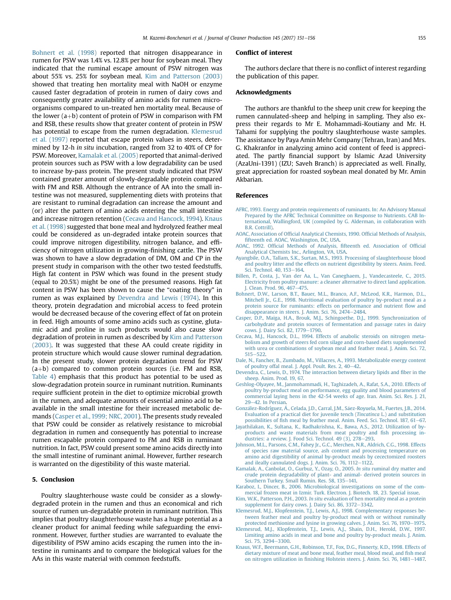<span id="page-4-0"></span>Bohnert et al. (1998) reported that nitrogen disappearance in rumen for PSW was 1.4% vs. 12.8% per hour for soybean meal. They indicated that the ruminal escape amount of PSW nitrogen was about 55% vs. 25% for soybean meal. Kim and Patterson (2003) showed that treating hen mortality meal with NaOH or enzyme caused faster degradation of protein in rumen of dairy cows and consequently greater availability of amino acids for rumen microorganisms compared to un-treated hen mortality meal. Because of the lower  $(a+b)$  content of protein of PSW in comparison with FM and RSB, these results show that greater content of protein in PSW has potential to escape from the rumen degradation. Klemesrud et al. (1997) reported that escape protein values in steers, determined by 12-h in situ incubation, ranged from 32 to 40% of CP for PSW. Moreover, Kamalak et al. (2005) reported that animal-derived protein sources such as PSW with a low degradability can be used to increase by-pass protein. The present study indicated that PSW contained greater amount of slowly-degradable protein compared with FM and RSB. Although the entrance of AA into the small intestine was not measured, supplementing diets with proteins that are resistant to ruminal degradation can increase the amount and (or) alter the pattern of amino acids entering the small intestine and increase nitrogen retention (Cecava and Hancock, 1994). Knaus et al. (1998) suggested that bone meal and hydrolyzed feather meal could be considered as un-degraded intake protein sources that could improve nitrogen digestibility, nitrogen balance, and efficiency of nitrogen utilization in growing-finishing cattle. The PSW was shown to have a slow degradation of DM, OM and CP in the present study in comparison with the other two tested feedstuffs. High fat content in PSW which was found in the present study (equal to 20.5%) might be one of the presumed reasons. High fat content in PSW has been shown to cause the "coating theory" in rumen as was explained by Devendra and Lewis (1974). In this theory, protein degradation and microbial access to feed protein would be decreased because of the covering effect of fat on protein in feed. High amounts of some amino acids such as cystine, glutamic acid and proline in such products would also cause slow degradation of protein in rumen as described by Kim and Patterson (2003). It was suggested that these AA could create rigidity in protein structure which would cause slower ruminal degradation. In the present study, slower protein degradation trend for PSW  $(a+b)$  compared to common protein sources (i.e. FM and RSB, [Table 4\)](#page-3-0) emphasis that this product has potential to be used as slow-degradation protein source in ruminant nutrition. Ruminants require sufficient protein in the diet to optimize microbial growth in the rumen, and adequate amounts of essential amino acid to be available in the small intestine for their increased metabolic demands (Casper et al., 1999; NRC, 2001). The presents study revealed that PSW could be consider as relatively resistance to microbial degradation in rumen and consequently has potential to increase rumen escapable protein compared to FM and RSB in ruminant nutrition. In fact, PSW could present some amino acids directly into the small intestine of ruminant animal. However, further research is warranted on the digestibility of this waste material.

# 5. Conclusion

Poultry slaughterhouse waste could be consider as a slowlydegraded protein in the rumen and thus an economical and rich source of rumen un-degradable protein in ruminant nutrition. This implies that poultry slaughterhouse waste has a huge potential as a cleaner product for animal feeding while safeguarding the environment. However, further studies are warranted to evaluate the digestibility of PSW amino acids escaping the rumen into the intestine in ruminants and to compare the biological values for the AAs in this waste material with common feedstuffs.

#### Conflict of interest

The authors declare that there is no conflict of interest regarding the publication of this paper.

# Acknowledgments

The authors are thankful to the sheep unit crew for keeping the rumen cannulated-sheep and helping in sampling. They also express their regards to Mr E. Mohammadi-Koutiany and Mr. H. Tahami for supplying the poultry slaughterhouse waste samples. The assistance by Paya Amin Mehr Company (Tehran, Iran) and Mrs. G. Khakranfor in analyzing amino acid content of feed is appreciated. The partly financial support by Islamic Azad University (AzaUni-1391) (IZU; Saveh Branch) is appreciated as well. Finally, great appreciation for roasted soybean meal donated by Mr. Amin Akbarian.

## References

- [AFRC, 1993. Energy and protein requirements of ruminants. In: An Advisory Manual](http://refhub.elsevier.com/S0959-6526(17)30073-2/sref1) [Prepared by the AFRC Technical Committee on Response to Nutrients. CAB In](http://refhub.elsevier.com/S0959-6526(17)30073-2/sref1)[ternational, Wallingford, UK \(compiled by G. Alderman, in collaboration with](http://refhub.elsevier.com/S0959-6526(17)30073-2/sref1) [B.R. Cottrill\)](http://refhub.elsevier.com/S0959-6526(17)30073-2/sref1).
- AOAC, Association of Offi[cial Analytical Chemists, 1990. Of](http://refhub.elsevier.com/S0959-6526(17)30073-2/sref2)ficial Methods of Analysis, fi[fteenth ed. AOAC, Washington, DC, USA](http://refhub.elsevier.com/S0959-6526(17)30073-2/sref2).
- AOAC, 1992. Official Methods of Analysis, fi[fteenth ed. Association of Of](http://refhub.elsevier.com/S0959-6526(17)30073-2/sref3)ficial [Analytical Chemists Inc., Arlington, VA, USA](http://refhub.elsevier.com/S0959-6526(17)30073-2/sref3).
- [Ayangbile, O.A., Tallam, S.K., Surtan, M.S., 1993. Processing of slaughterhouse blood](http://refhub.elsevier.com/S0959-6526(17)30073-2/sref4) [and poultry litter and the effects on nutrient digestibility by steers. Anim. Feed.](http://refhub.elsevier.com/S0959-6526(17)30073-2/sref4) [Sci. Technol. 40, 153](http://refhub.elsevier.com/S0959-6526(17)30073-2/sref4)-[164.](http://refhub.elsevier.com/S0959-6526(17)30073-2/sref4)
- [Billen, P., Costa, J., Van der Aa, L., Van Caneghaem, J., Vandecasteele, C., 2015.](http://refhub.elsevier.com/S0959-6526(17)30073-2/sref5) [Electricity from poultry manure: a cleaner alternative to direct land application.](http://refhub.elsevier.com/S0959-6526(17)30073-2/sref5) [J. Clean. Prod. 96, 467](http://refhub.elsevier.com/S0959-6526(17)30073-2/sref5)-[475.](http://refhub.elsevier.com/S0959-6526(17)30073-2/sref5)
- [Bohnert, D.W., Larson, B.T., Bauer, M.L., Branco, A.F., McLeod, K.R., Harmon, D.L.,](http://refhub.elsevier.com/S0959-6526(17)30073-2/sref6) [Mitchell Jr., G.E., 1998. Nutritional evaluation of poultry by-product meal as a](http://refhub.elsevier.com/S0959-6526(17)30073-2/sref6) [protein source for ruminants: effects on performance and nutrient](http://refhub.elsevier.com/S0959-6526(17)30073-2/sref6) flow and disappearance in steers. J. Anim. Sci. 76,  $2474-2484$  $2474-2484$ .
- [Casper, D.P., Maiga, H.A., Brouk, M.J., Schingoethe, D.J., 1999. Synchronization of](http://refhub.elsevier.com/S0959-6526(17)30073-2/sref7) [carbohydrate and protein sources of fermentation and passage rates in dairy](http://refhub.elsevier.com/S0959-6526(17)30073-2/sref7) [cows. J. Dairy Sci. 82, 1779](http://refhub.elsevier.com/S0959-6526(17)30073-2/sref7)-[1790.](http://refhub.elsevier.com/S0959-6526(17)30073-2/sref7)
- [Cecava, M.J., Hancock, D.L., 1994. Effects of anabolic steroids on nitrogen meta](http://refhub.elsevier.com/S0959-6526(17)30073-2/sref8)[bolism and growth of steers fed corn silage and corn-based diets supplemented](http://refhub.elsevier.com/S0959-6526(17)30073-2/sref8) with urea or combinations of soybean meal and feather meal. I. Anim. Sci. 72,  $515 - 522$  $515 - 522$  $515 - 522$ .
- [Dale, N., Fancher, B., Zumbado, M., Villacres, A., 1993. Metabolizable energy content](http://refhub.elsevier.com/S0959-6526(17)30073-2/sref9) [of poultry offal meal. J. Appl. Poult. Res. 2, 40](http://refhub.elsevier.com/S0959-6526(17)30073-2/sref9)-[42.](http://refhub.elsevier.com/S0959-6526(17)30073-2/sref9)
- [Devendra, C., Lewis, D., 1974. The interaction between dietary lipids and](http://refhub.elsevier.com/S0959-6526(17)30073-2/sref10) fiber in the [sheep. Anim. Prod. 19, 67.](http://refhub.elsevier.com/S0959-6526(17)30073-2/sref10)
- [Geshlog-Olyayee, M., Janmohammadi, H., Taghizadeh, A., Rafat, S.A., 2010. Effects of](http://refhub.elsevier.com/S0959-6526(17)30073-2/sref11) [poultry by-product meal on performance, egg quality and blood parameters of](http://refhub.elsevier.com/S0959-6526(17)30073-2/sref11) [commercial laying hens in the 42-54 weeks of age. Iran. Anim. Sci. Res. J. 21,](http://refhub.elsevier.com/S0959-6526(17)30073-2/sref11) [29](http://refhub.elsevier.com/S0959-6526(17)30073-2/sref11)-[42. In Persian.](http://refhub.elsevier.com/S0959-6526(17)30073-2/sref11)
- [Gonz](http://refhub.elsevier.com/S0959-6526(17)30073-2/sref12)a[lez-Rodríguez,](http://refhub.elsevier.com/S0959-6526(17)30073-2/sref12) A[., Celada, J.D., Carral, J.M., S](http://refhub.elsevier.com/S0959-6526(17)30073-2/sref12) [aez-Royuela, M., Fuertes, J.B., 2014.](http://refhub.elsevier.com/S0959-6526(17)30073-2/sref12) [Evaluation of a practical diet for juvenile tench \(](http://refhub.elsevier.com/S0959-6526(17)30073-2/sref12)Tincatinca L.) and substitution possibilities of fi[sh meal by feather meal. Anim. Feed. Sci. Technol. 187, 61](http://refhub.elsevier.com/S0959-6526(17)30073-2/sref12)-[67.](http://refhub.elsevier.com/S0959-6526(17)30073-2/sref12)
- [Jayathilakan, K., Sultana, K., Radhakrishna, K., Bawa, A.S., 2012. Utilization of by](http://refhub.elsevier.com/S0959-6526(17)30073-2/sref13)[products and waste materials from meat poultry and](http://refhub.elsevier.com/S0959-6526(17)30073-2/sref13) fish processing industries: a review. J. Food Sci. Technol.  $49(3)$ ,  $278-293$ .
- [Johnson, M.L., Parsons, C.M., Fahey Jr., G.C., Merchen, N.R., Aldrich, C.G., 1998. Effects](http://refhub.elsevier.com/S0959-6526(17)30073-2/sref14) [of species raw material source, ash content and processing temperature on](http://refhub.elsevier.com/S0959-6526(17)30073-2/sref14) [amino acid digestibility of animal by-product meals by cecectomized roosters](http://refhub.elsevier.com/S0959-6526(17)30073-2/sref14) and ileally cannulated dogs. J. Anim. Sci. 76,  $1112-1122$ .
- [Kamalak, A., Canbolat, O., Gurbuz, Y., Ozay, O., 2005.](http://refhub.elsevier.com/S0959-6526(17)30073-2/sref15) In situ ruminal dry matter and [crude protein degradability of plant- and animal- derived protein sources in](http://refhub.elsevier.com/S0959-6526(17)30073-2/sref15) [Southern Turkey. Small Rumin. Res. 58, 135](http://refhub.elsevier.com/S0959-6526(17)30073-2/sref15)-[141.](http://refhub.elsevier.com/S0959-6526(17)30073-2/sref15)
- [Karaboz, I., Dincer, B., 2006. Microbiological investigations on some of the com](http://refhub.elsevier.com/S0959-6526(17)30073-2/sref16)[mercial frozen meat in Izmir. Turk. Electron. J. Biotech. 18, 23. Special issue.](http://refhub.elsevier.com/S0959-6526(17)30073-2/sref16)
- Kim, W.K., Patterson, P.H., 2003. In situ [evaluation of hen mortality meal as a protein](http://refhub.elsevier.com/S0959-6526(17)30073-2/sref17) [supplement for dairy cows. J. Dairy Sci. 86, 3372](http://refhub.elsevier.com/S0959-6526(17)30073-2/sref17)-[3342.](http://refhub.elsevier.com/S0959-6526(17)30073-2/sref17)
- [Klemesrud, M.J., Klopfenstein, T.J., Lewis, A.J., 1998. Complementary responses be](http://refhub.elsevier.com/S0959-6526(17)30073-2/sref18)[tween feather meal and poultry by-product meal with or without ruminally](http://refhub.elsevier.com/S0959-6526(17)30073-2/sref18) [protected methionine and lysine in growing calves. J. Anim. Sci. 76, 1970](http://refhub.elsevier.com/S0959-6526(17)30073-2/sref18)-[1975](http://refhub.elsevier.com/S0959-6526(17)30073-2/sref18).
- [Klemesrud, M.J., Klopfenstein, T.J., Lewis, A.J., Shain, D.H., Herold, D.W., 1997.](http://refhub.elsevier.com/S0959-6526(17)30073-2/sref19) [Limiting amino acids in meat and bone and poultry by-product meals. J. Anim.](http://refhub.elsevier.com/S0959-6526(17)30073-2/sref19) [Sci. 75, 3294](http://refhub.elsevier.com/S0959-6526(17)30073-2/sref19)-[3300.](http://refhub.elsevier.com/S0959-6526(17)30073-2/sref19)
- [Knaus, W.F., Beermann, G.H., Robinson, T.F., Fox, D.G., Finnerty, K.D., 1998. Effects of](http://refhub.elsevier.com/S0959-6526(17)30073-2/sref20) [dietary mixture of meat and bone meal, feather meal, blood meal, and](http://refhub.elsevier.com/S0959-6526(17)30073-2/sref20) fish meal on nitrogen utilization in fi[nishing Holstein steers. J. Anim. Sci. 76, 1481](http://refhub.elsevier.com/S0959-6526(17)30073-2/sref20)-[1487.](http://refhub.elsevier.com/S0959-6526(17)30073-2/sref20)